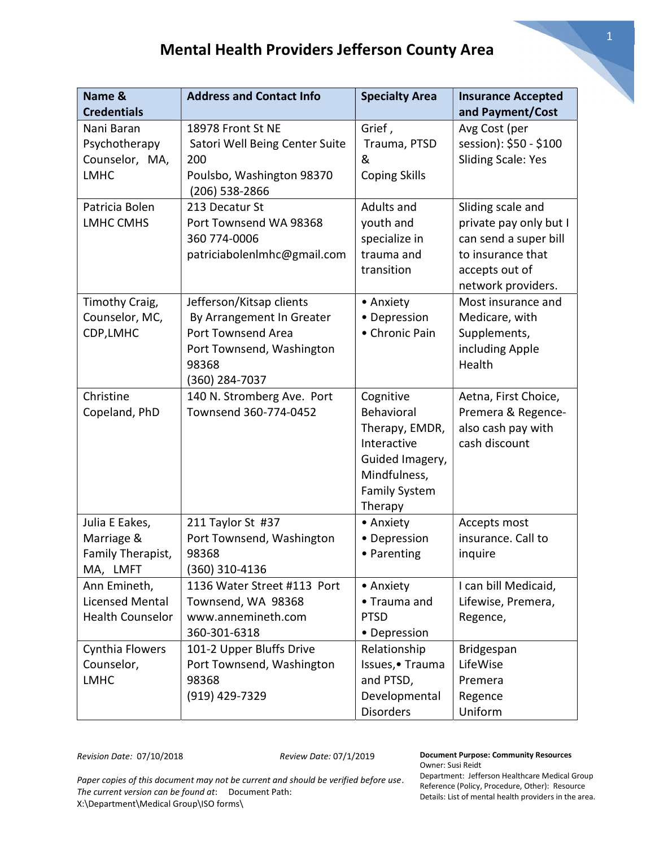| Name &                                                            | <b>Address and Contact Info</b>                                                                                                     | <b>Specialty Area</b>                                                                                                          | <b>Insurance Accepted</b>                                                                                                         |
|-------------------------------------------------------------------|-------------------------------------------------------------------------------------------------------------------------------------|--------------------------------------------------------------------------------------------------------------------------------|-----------------------------------------------------------------------------------------------------------------------------------|
| <b>Credentials</b>                                                |                                                                                                                                     |                                                                                                                                | and Payment/Cost                                                                                                                  |
| Nani Baran<br>Psychotherapy<br>Counselor, MA,<br><b>LMHC</b>      | 18978 Front St NE<br>Satori Well Being Center Suite<br>200<br>Poulsbo, Washington 98370                                             | Grief,<br>Trauma, PTSD<br>&<br><b>Coping Skills</b>                                                                            | Avg Cost (per<br>session): \$50 - \$100<br><b>Sliding Scale: Yes</b>                                                              |
| Patricia Bolen<br><b>LMHC CMHS</b>                                | (206) 538-2866<br>213 Decatur St<br>Port Townsend WA 98368<br>360 774-0006<br>patriciabolenImhc@gmail.com                           | Adults and<br>youth and<br>specialize in<br>trauma and<br>transition                                                           | Sliding scale and<br>private pay only but I<br>can send a super bill<br>to insurance that<br>accepts out of<br>network providers. |
| Timothy Craig,<br>Counselor, MC,<br>CDP, LMHC                     | Jefferson/Kitsap clients<br>By Arrangement In Greater<br>Port Townsend Area<br>Port Townsend, Washington<br>98368<br>(360) 284-7037 | • Anxiety<br>• Depression<br>• Chronic Pain                                                                                    | Most insurance and<br>Medicare, with<br>Supplements,<br>including Apple<br>Health                                                 |
| Christine<br>Copeland, PhD                                        | 140 N. Stromberg Ave. Port<br>Townsend 360-774-0452                                                                                 | Cognitive<br>Behavioral<br>Therapy, EMDR,<br>Interactive<br>Guided Imagery,<br>Mindfulness,<br><b>Family System</b><br>Therapy | Aetna, First Choice,<br>Premera & Regence-<br>also cash pay with<br>cash discount                                                 |
| Julia E Eakes,<br>Marriage &<br>Family Therapist,<br>MA, LMFT     | 211 Taylor St #37<br>Port Townsend, Washington<br>98368<br>360) 310-4136                                                            | • Anxiety<br>• Depression<br>• Parenting                                                                                       | Accepts most<br>insurance. Call to<br>inquire                                                                                     |
| Ann Emineth,<br><b>Licensed Mental</b><br><b>Health Counselor</b> | 1136 Water Street #113 Port<br>Townsend, WA 98368<br>www.annemineth.com<br>360-301-6318                                             | • Anxiety<br>• Trauma and<br><b>PTSD</b><br>• Depression                                                                       | I can bill Medicaid,<br>Lifewise, Premera,<br>Regence,                                                                            |
| Cynthia Flowers<br>Counselor,<br><b>LMHC</b>                      | 101-2 Upper Bluffs Drive<br>Port Townsend, Washington<br>98368<br>(919) 429-7329                                                    | Relationship<br>Issues, • Trauma<br>and PTSD,<br>Developmental<br><b>Disorders</b>                                             | Bridgespan<br>LifeWise<br>Premera<br>Regence<br>Uniform                                                                           |

Revision Date: 07/10/2018 Review Date: 07/1/2019

Document Purpose: Community Resources Owner: Susi Reidt

Paper copies of this document may not be current and should be verified before use. The current version can be found at: Document Path: X:\Department\Medical Group\ISO forms\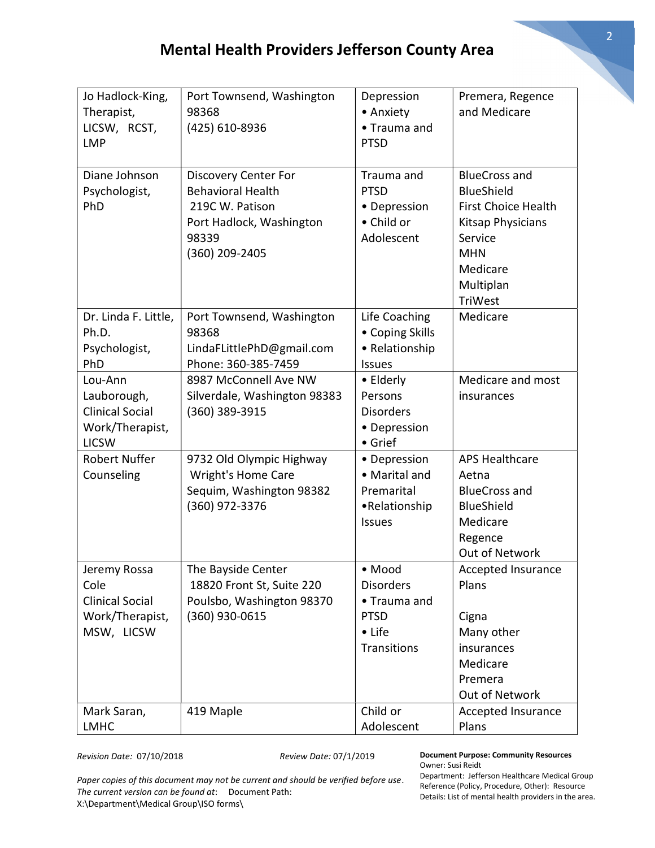| Jo Hadlock-King,<br>Therapist,<br>LICSW, RCST,<br><b>LMP</b>                        | Port Townsend, Washington<br>98368<br>(425) 610-8936                                                                              | Depression<br>• Anxiety<br>• Trauma and<br><b>PTSD</b>                                    | Premera, Regence<br>and Medicare                                                                                                                          |
|-------------------------------------------------------------------------------------|-----------------------------------------------------------------------------------------------------------------------------------|-------------------------------------------------------------------------------------------|-----------------------------------------------------------------------------------------------------------------------------------------------------------|
| Diane Johnson<br>Psychologist,<br>PhD                                               | <b>Discovery Center For</b><br><b>Behavioral Health</b><br>219C W. Patison<br>Port Hadlock, Washington<br>98339<br>(360) 209-2405 | Trauma and<br><b>PTSD</b><br>• Depression<br>• Child or<br>Adolescent                     | <b>BlueCross and</b><br><b>BlueShield</b><br><b>First Choice Health</b><br>Kitsap Physicians<br>Service<br><b>MHN</b><br>Medicare<br>Multiplan<br>TriWest |
| Dr. Linda F. Little,<br>Ph.D.<br>Psychologist,<br>PhD                               | Port Townsend, Washington<br>98368<br>LindaFLittlePhD@gmail.com<br>Phone: 360-385-7459                                            | Life Coaching<br>• Coping Skills<br>• Relationship<br><b>Issues</b>                       | Medicare                                                                                                                                                  |
| Lou-Ann<br>Lauborough,<br><b>Clinical Social</b><br>Work/Therapist,<br><b>LICSW</b> | 8987 McConnell Ave NW<br>Silverdale, Washington 98383<br>(360) 389-3915                                                           | • Elderly<br>Persons<br><b>Disorders</b><br>• Depression<br>• Grief                       | Medicare and most<br>insurances                                                                                                                           |
| <b>Robert Nuffer</b><br>Counseling                                                  | 9732 Old Olympic Highway<br><b>Wright's Home Care</b><br>Sequim, Washington 98382<br>(360) 972-3376                               | • Depression<br>• Marital and<br>Premarital<br>•Relationship<br><b>Issues</b>             | <b>APS Healthcare</b><br>Aetna<br><b>BlueCross and</b><br><b>BlueShield</b><br>Medicare<br>Regence<br>Out of Network                                      |
| Jeremy Rossa<br>Cole<br><b>Clinical Social</b><br>Work/Therapist,<br>MSW, LICSW     | The Bayside Center<br>18820 Front St, Suite 220<br>Poulsbo, Washington 98370<br>(360) 930-0615                                    | • Mood<br><b>Disorders</b><br>• Trauma and<br><b>PTSD</b><br>• Life<br><b>Transitions</b> | Accepted Insurance<br>Plans<br>Cigna<br>Many other<br>insurances<br>Medicare<br>Premera<br>Out of Network                                                 |
| Mark Saran,<br><b>LMHC</b>                                                          | 419 Maple                                                                                                                         | Child or<br>Adolescent                                                                    | Accepted Insurance<br>Plans                                                                                                                               |

Revision Date: 07/10/2018 Review Date: 07/1/2019

Paper copies of this document may not be current and should be verified before use. The current version can be found at: Document Path: X:\Department\Medical Group\ISO forms\

Document Purpose: Community Resources Owner: Susi Reidt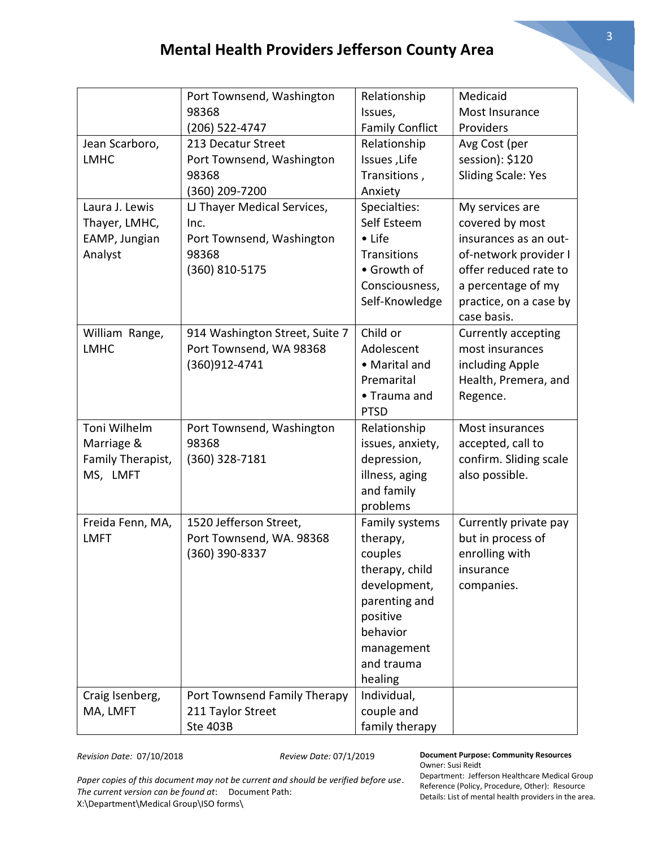|                   | Port Townsend, Washington      | Relationship           | Medicaid                  |
|-------------------|--------------------------------|------------------------|---------------------------|
|                   | 98368                          | Issues,                | Most Insurance            |
|                   | (206) 522-4747                 | <b>Family Conflict</b> | Providers                 |
| Jean Scarboro,    | 213 Decatur Street             | Relationship           | Avg Cost (per             |
| <b>LMHC</b>       | Port Townsend, Washington      | Issues, Life           | session): \$120           |
|                   | 98368                          | Transitions,           | <b>Sliding Scale: Yes</b> |
|                   | (360) 209-7200                 | Anxiety                |                           |
| Laura J. Lewis    | LJ Thayer Medical Services,    | Specialties:           | My services are           |
| Thayer, LMHC,     | Inc.                           | Self Esteem            | covered by most           |
| EAMP, Jungian     | Port Townsend, Washington      | • Life                 | insurances as an out-     |
| Analyst           | 98368                          | <b>Transitions</b>     | of-network provider I     |
|                   | (360) 810-5175                 | • Growth of            | offer reduced rate to     |
|                   |                                | Consciousness,         | a percentage of my        |
|                   |                                | Self-Knowledge         | practice, on a case by    |
|                   |                                |                        | case basis.               |
| William Range,    | 914 Washington Street, Suite 7 | Child or               | Currently accepting       |
| <b>LMHC</b>       | Port Townsend, WA 98368        | Adolescent             | most insurances           |
|                   | (360)912-4741                  | • Marital and          | including Apple           |
|                   |                                | Premarital             | Health, Premera, and      |
|                   |                                | • Trauma and           | Regence.                  |
|                   |                                | <b>PTSD</b>            |                           |
| Toni Wilhelm      | Port Townsend, Washington      | Relationship           | Most insurances           |
| Marriage &        | 98368                          | issues, anxiety,       | accepted, call to         |
| Family Therapist, | (360) 328-7181                 | depression,            | confirm. Sliding scale    |
| MS, LMFT          |                                | illness, aging         | also possible.            |
|                   |                                | and family             |                           |
|                   |                                | problems               |                           |
| Freida Fenn, MA,  | 1520 Jefferson Street,         | Family systems         | Currently private pay     |
| <b>LMFT</b>       | Port Townsend, WA. 98368       | therapy,               | but in process of         |
|                   | (360) 390-8337                 | couples                | enrolling with            |
|                   |                                | therapy, child         | insurance                 |
|                   |                                | development,           | companies.                |
|                   |                                | parenting and          |                           |
|                   |                                | positive               |                           |
|                   |                                | behavior               |                           |
|                   |                                | management             |                           |
|                   |                                | and trauma             |                           |
|                   |                                | healing                |                           |
| Craig Isenberg,   | Port Townsend Family Therapy   | Individual,            |                           |
| MA, LMFT          | 211 Taylor Street              | couple and             |                           |
|                   | <b>Ste 403B</b>                | family therapy         |                           |

Revision Date: 07/10/2018 Review Date: 07/1/2019

Document Purpose: Community Resources Owner: Susi Reidt

Paper copies of this document may not be current and should be verified before use. The current version can be found at: Document Path: X:\Department\Medical Group\ISO forms\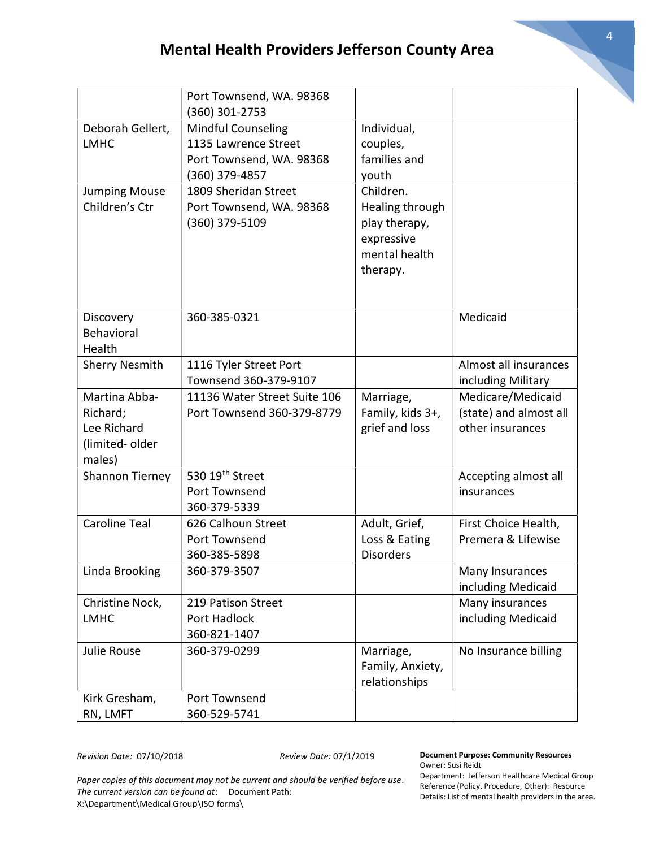|                                                                      | Port Townsend, WA. 98368<br>(360) 301-2753                                                      |                                                                                          |                                                                 |
|----------------------------------------------------------------------|-------------------------------------------------------------------------------------------------|------------------------------------------------------------------------------------------|-----------------------------------------------------------------|
| Deborah Gellert,<br><b>LMHC</b>                                      | <b>Mindful Counseling</b><br>1135 Lawrence Street<br>Port Townsend, WA. 98368<br>(360) 379-4857 | Individual,<br>couples,<br>families and<br>youth                                         |                                                                 |
| <b>Jumping Mouse</b><br>Children's Ctr                               | 1809 Sheridan Street<br>Port Townsend, WA. 98368<br>(360) 379-5109                              | Children.<br>Healing through<br>play therapy,<br>expressive<br>mental health<br>therapy. |                                                                 |
| Discovery<br><b>Behavioral</b><br>Health                             | 360-385-0321                                                                                    |                                                                                          | Medicaid                                                        |
| <b>Sherry Nesmith</b>                                                | 1116 Tyler Street Port<br>Townsend 360-379-9107                                                 |                                                                                          | Almost all insurances<br>including Military                     |
| Martina Abba-<br>Richard;<br>Lee Richard<br>(limited-older<br>males) | 11136 Water Street Suite 106<br>Port Townsend 360-379-8779                                      | Marriage,<br>Family, kids 3+,<br>grief and loss                                          | Medicare/Medicaid<br>(state) and almost all<br>other insurances |
| Shannon Tierney                                                      | 530 19th Street<br>Port Townsend<br>360-379-5339                                                |                                                                                          | Accepting almost all<br>insurances                              |
| <b>Caroline Teal</b>                                                 | 626 Calhoun Street<br>Port Townsend<br>360-385-5898                                             | Adult, Grief,<br>Loss & Eating<br><b>Disorders</b>                                       | First Choice Health,<br>Premera & Lifewise                      |
| Linda Brooking                                                       | 360-379-3507                                                                                    |                                                                                          | Many Insurances<br>including Medicaid                           |
| Christine Nock,<br><b>LMHC</b>                                       | 219 Patison Street<br>Port Hadlock<br>360-821-1407                                              |                                                                                          | Many insurances<br>including Medicaid                           |
| Julie Rouse                                                          | 360-379-0299                                                                                    | Marriage,<br>Family, Anxiety,<br>relationships                                           | No Insurance billing                                            |
| Kirk Gresham,<br>RN, LMFT                                            | Port Townsend<br>360-529-5741                                                                   |                                                                                          |                                                                 |

Revision Date: 07/10/2018 Review Date: 07/1/2019

Paper copies of this document may not be current and should be verified before use. The current version can be found at: Document Path: X:\Department\Medical Group\ISO forms\

## Document Purpose: Community Resources Owner: Susi Reidt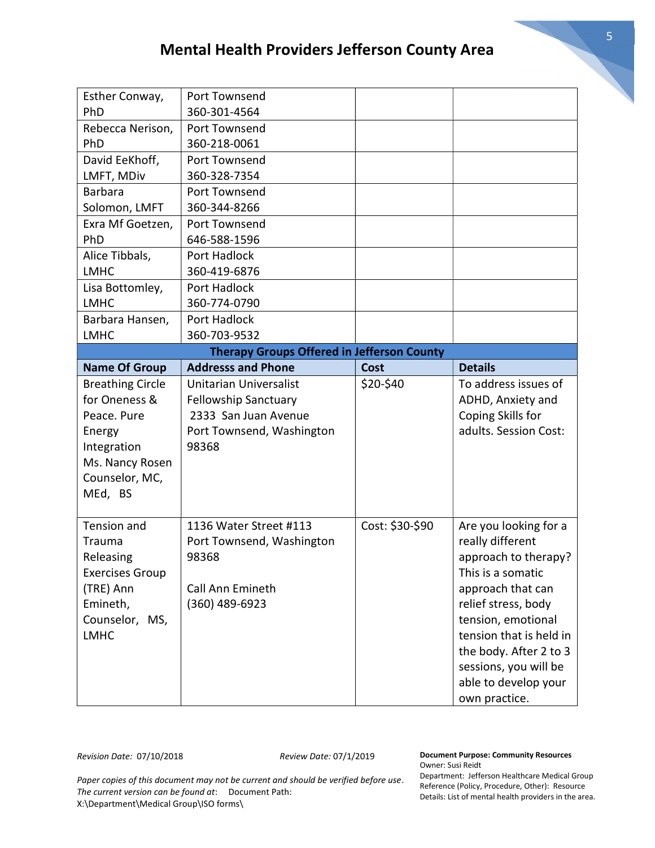| Esther Conway,                                    | Port Townsend                 |                 |                         |  |
|---------------------------------------------------|-------------------------------|-----------------|-------------------------|--|
| PhD                                               | 360-301-4564                  |                 |                         |  |
| Rebecca Nerison,                                  | Port Townsend                 |                 |                         |  |
| PhD                                               | 360-218-0061                  |                 |                         |  |
| David EeKhoff,                                    | Port Townsend                 |                 |                         |  |
| LMFT, MDiv                                        | 360-328-7354                  |                 |                         |  |
| <b>Barbara</b>                                    | Port Townsend                 |                 |                         |  |
| Solomon, LMFT                                     | 360-344-8266                  |                 |                         |  |
| Exra Mf Goetzen,                                  | Port Townsend                 |                 |                         |  |
| PhD                                               | 646-588-1596                  |                 |                         |  |
| Alice Tibbals,                                    | Port Hadlock                  |                 |                         |  |
| <b>LMHC</b>                                       | 360-419-6876                  |                 |                         |  |
| Lisa Bottomley,                                   | Port Hadlock                  |                 |                         |  |
| <b>LMHC</b>                                       | 360-774-0790                  |                 |                         |  |
| Barbara Hansen,                                   | Port Hadlock                  |                 |                         |  |
| <b>LMHC</b>                                       | 360-703-9532                  |                 |                         |  |
| <b>Therapy Groups Offered in Jefferson County</b> |                               |                 |                         |  |
| <b>Name Of Group</b>                              | <b>Addresss and Phone</b>     | <b>Cost</b>     | <b>Details</b>          |  |
| <b>Breathing Circle</b>                           | <b>Unitarian Universalist</b> | \$20-\$40       | To address issues of    |  |
| for Oneness &                                     | <b>Fellowship Sanctuary</b>   |                 | ADHD, Anxiety and       |  |
| Peace. Pure                                       | 2333 San Juan Avenue          |                 | Coping Skills for       |  |
| Energy                                            | Port Townsend, Washington     |                 | adults. Session Cost:   |  |
| Integration                                       | 98368                         |                 |                         |  |
| Ms. Nancy Rosen                                   |                               |                 |                         |  |
| Counselor, MC,                                    |                               |                 |                         |  |
| MEd, BS                                           |                               |                 |                         |  |
|                                                   |                               |                 |                         |  |
| <b>Tension and</b>                                | 1136 Water Street #113        | Cost: \$30-\$90 | Are you looking for a   |  |
| Trauma                                            | Port Townsend, Washington     |                 | really different        |  |
| Releasing                                         | 98368                         |                 | approach to therapy?    |  |
| <b>Exercises Group</b>                            |                               |                 | This is a somatic       |  |
| (TRE) Ann                                         | Call Ann Emineth              |                 | approach that can       |  |
| Emineth,                                          | (360) 489-6923                |                 | relief stress, body     |  |
| Counselor, MS,                                    |                               |                 | tension, emotional      |  |
| <b>LMHC</b>                                       |                               |                 | tension that is held in |  |
|                                                   |                               |                 | the body. After 2 to 3  |  |
|                                                   |                               |                 | sessions, you will be   |  |
|                                                   |                               |                 | able to develop your    |  |
|                                                   |                               |                 | own practice.           |  |

Document Purpose: Community Resources Owner: Susi Reidt

Paper copies of this document may not be current and should be verified before use. The current version can be found at: Document Path: X:\Department\Medical Group\ISO forms\